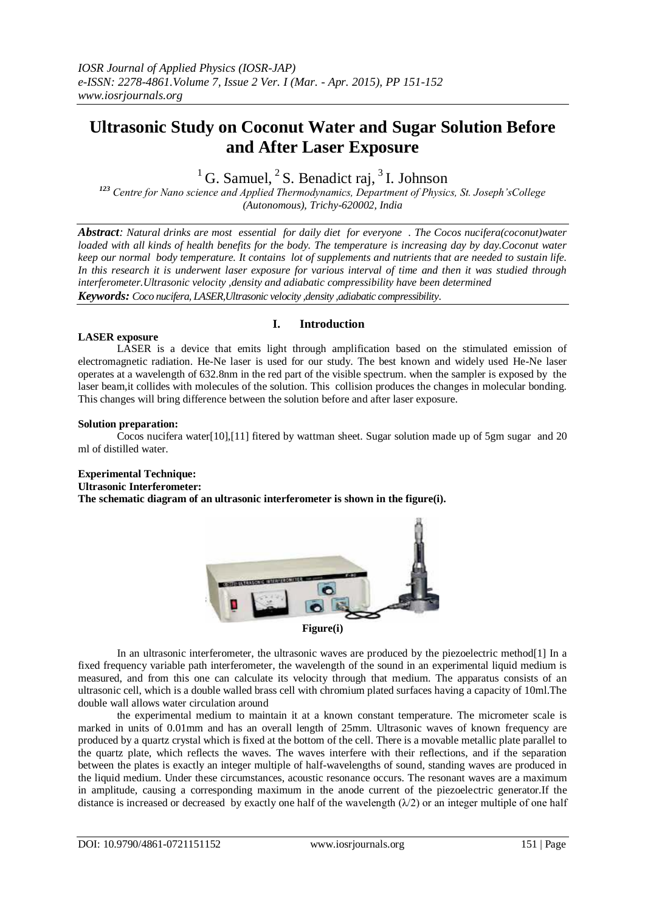# **Ultrasonic Study on Coconut Water and Sugar Solution Before and After Laser Exposure**

## <sup>1</sup> G. Samuel,  ${}^{2}$  S. Benadict raj,  ${}^{3}$  I. Johnson

*<sup>123</sup> Centre for Nano science and Applied Thermodynamics, Department of Physics, St. Joseph'sCollege (Autonomous), Trichy-620002, India*

*Abstract: Natural drinks are most essential for daily diet for everyone . The Cocos nucifera(coconut)water loaded with all kinds of health benefits for the body. The temperature is increasing day by day.Coconut water keep our normal body temperature. It contains lot of supplements and nutrients that are needed to sustain life. In this research it is underwent laser exposure for various interval of time and then it was studied through interferometer.Ultrasonic velocity ,density and adiabatic compressibility have been determined Keywords: Coco nucifera, LASER,Ultrasonic velocity ,density ,adiabatic compressibility*.

#### **LASER exposure**

### **I. Introduction**

LASER is a device that emits light through amplification based on the stimulated emission of electromagnetic radiation. He-Ne laser is used for our study. The best known and widely used He-Ne laser operates at a wavelength of 632.8nm in the red part of the visible spectrum. when the sampler is exposed by the laser beam,it collides with molecules of the solution. This collision produces the changes in molecular bonding. This changes will bring difference between the solution before and after laser exposure.

#### **Solution preparation:**

Cocos nucifera water[10],[11] fitered by wattman sheet. Sugar solution made up of 5gm sugar and 20 ml of distilled water.

### **Experimental Technique:**

**Ultrasonic Interferometer:**

**The schematic diagram of an ultrasonic interferometer is shown in the figure(i).**



In an ultrasonic interferometer, the ultrasonic waves are produced by the piezoelectric method[1] In a fixed frequency variable path interferometer, the wavelength of the sound in an experimental liquid medium is measured, and from this one can calculate its velocity through that medium. The apparatus consists of an ultrasonic cell, which is a double walled brass cell with chromium plated surfaces having a capacity of 10ml.The double wall allows water circulation around

the experimental medium to maintain it at a known constant temperature. The micrometer scale is marked in units of 0.01mm and has an overall length of 25mm. Ultrasonic waves of known frequency are produced by a quartz crystal which is fixed at the bottom of the cell. There is a movable metallic plate parallel to the quartz plate, which reflects the waves. The waves interfere with their reflections, and if the separation between the plates is exactly an integer multiple of half-wavelengths of sound, standing waves are produced in the liquid medium. Under these circumstances, acoustic resonance occurs. The resonant waves are a maximum in amplitude, causing a corresponding maximum in the anode current of the piezoelectric generator.If the distance is increased or decreased by exactly one half of the wavelength  $(\lambda/2)$  or an integer multiple of one half